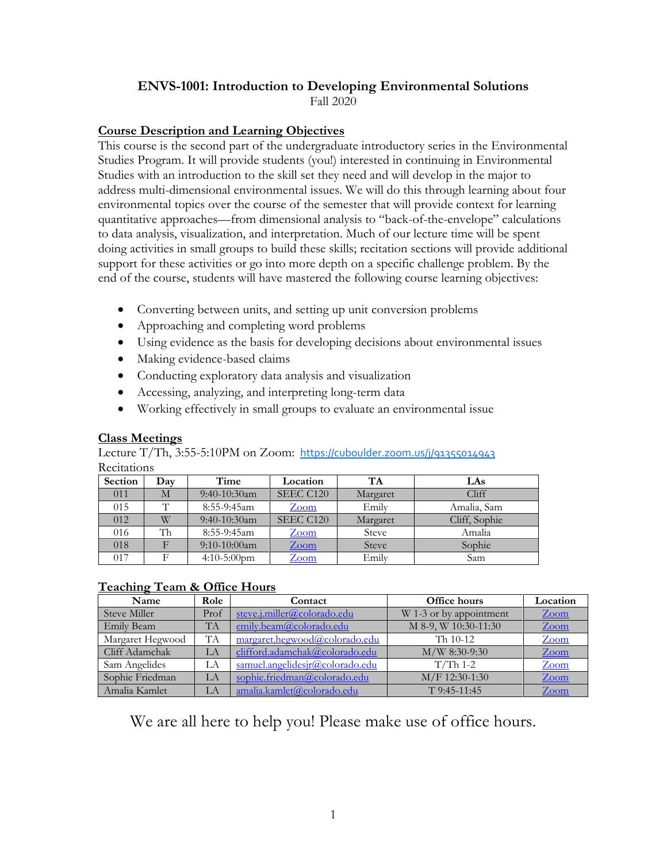# **ENVS-1001: Introduction to Developing Environmental Solutions**

Fall 2020

## **Course Description and Learning Objectives**

This course is the second part of the undergraduate introductory series in the Environmental Studies Program. It will provide students (you!) interested in continuing in Environmental Studies with an introduction to the skill set they need and will develop in the major to address multi-dimensional environmental issues. We will do this through learning about four environmental topics over the course of the semester that will provide context for learning quantitative approaches—from dimensional analysis to "back-of-the-envelope" calculations to data analysis, visualization, and interpretation. Much of our lecture time will be spent doing activities in small groups to build these skills; recitation sections will provide additional support for these activities or go into more depth on a specific challenge problem. By the end of the course, students will have mastered the following course learning objectives:

- Converting between units, and setting up unit conversion problems
- Approaching and completing word problems
- Using evidence as the basis for developing decisions about environmental issues
- Making evidence-based claims
- Conducting exploratory data analysis and visualization
- Accessing, analyzing, and interpreting long-term data
- Working effectively in small groups to evaluate an environmental issue

## **Class Meetings**

Lecture T/Th, 3:55-5:10PM on Zoom: <https://cuboulder.zoom.us/j/91355014943> **Recitations** 

| Section | Day | Time             | Location  | <b>TA</b>    | LAs           |
|---------|-----|------------------|-----------|--------------|---------------|
| 011     | М   | $9:40-10:30$ am  | SEEC C120 | Margaret     | Cliff         |
| 015     | π   | $8:55-9:45$ am   | Zoom      | Emily        | Amalia, Sam   |
| 012     | W   | $9:40-10:30$ am  | SEEC C120 | Margaret     | Cliff, Sophie |
| 016     | Th  | 8:55-9:45am      | Zoom      | <b>Steve</b> | Amalia        |
| 018     |     | $9:10-10:00$ am  | $Z$ oom   | <b>Steve</b> | Sophie        |
| 017     | Е   | $4:10 - 5:00$ pm | Zoom      | Emily        | Sam           |

## **Teaching Team & Office Hours**

| Name             | Role      | Contact                         | Office hours            | Location        |
|------------------|-----------|---------------------------------|-------------------------|-----------------|
| Steve Miller     | Prof      | steve.j.miller@colorado.edu     | W 1-3 or by appointment | <u>Zoom</u>     |
| Emily Beam       | <b>TA</b> | emily.beam@colorado.edu         | M 8-9, W 10:30-11:30    | <u>Zoom</u>     |
| Margaret Hegwood | <b>TA</b> | margaret.hegwood@colorado.edu   | Th 10-12                | Zoom            |
| Cliff Adamchak   | LA        | clifford.adamchak@colorado.edu  | $M/W$ 8:30-9:30         | $\mathsf{Zoom}$ |
| Sam Angelides    | LА        | samuel.angelidesjr@colorado.edu | $T/Th$ 1-2              | <u>Zoom</u>     |
| Sophie Friedman  | LA        | sophie.friedman@colorado.edu    | M/F 12:30-1:30          | $Z$ oom         |
| Amalia Kamlet    | LA        | amalia.kamlet@colorado.edu      | $T$ 9:45-11:45          | Zoom            |

We are all here to help you! Please make use of office hours.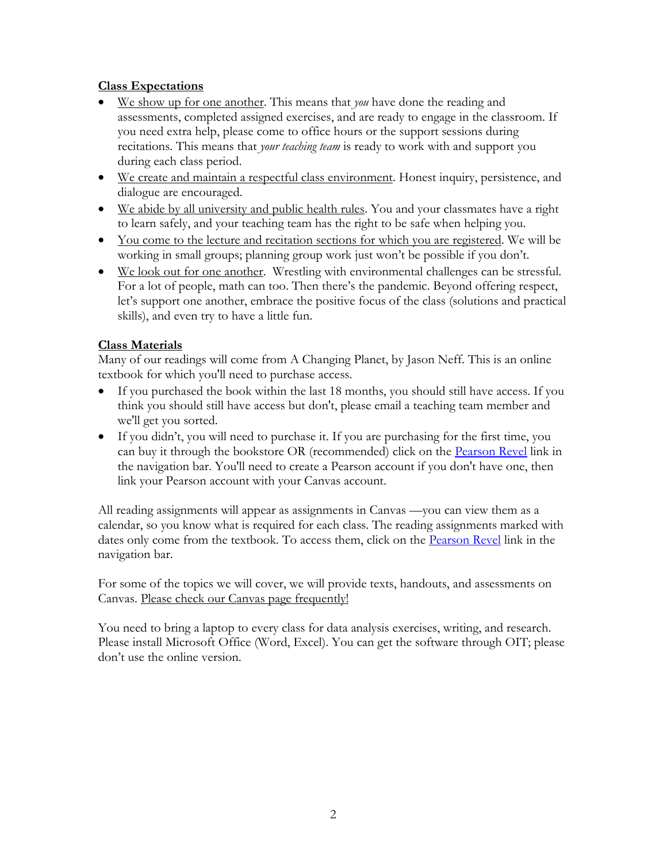## **Class Expectations**

- We show up for one another. This means that *you* have done the reading and assessments, completed assigned exercises, and are ready to engage in the classroom. If you need extra help, please come to office hours or the support sessions during recitations. This means that *your teaching team* is ready to work with and support you during each class period.
- We create and maintain a respectful class environment. Honest inquiry, persistence, and dialogue are encouraged.
- We abide by all university and public health rules. You and your classmates have a right to learn safely, and your teaching team has the right to be safe when helping you.
- You come to the lecture and recitation sections for which you are registered. We will be working in small groups; planning group work just won't be possible if you don't.
- We look out for one another. Wrestling with environmental challenges can be stressful. For a lot of people, math can too. Then there's the pandemic. Beyond offering respect, let's support one another, embrace the positive focus of the class (solutions and practical skills), and even try to have a little fun.

## **Class Materials**

Many of our readings will come from A Changing Planet, by Jason Neff. This is an online textbook for which you'll need to purchase access.

- If you purchased the book within the last 18 months, you should still have access. If you think you should still have access but don't, please email a teaching team member and we'll get you sorted.
- If you didn't, you will need to purchase it. If you are purchasing for the first time, you can buy it through the bookstore OR (recommended) click on the [Pearson Revel](mailto:https://canvas.colorado.edu/courses/64282/external_tools/232) link in the navigation bar. You'll need to create a Pearson account if you don't have one, then link your Pearson account with your Canvas account.

All reading assignments will appear as assignments in Canvas —you can view them as a calendar, so you know what is required for each class. The reading assignments marked with dates only come from the textbook. To access them, click on the **[Pearson Revel](mailto:https://canvas.colorado.edu/courses/64282/external_tools/232)** link in the navigation bar.

For some of the topics we will cover, we will provide texts, handouts, and assessments on Canvas. Please check our Canvas page frequently!

You need to bring a laptop to every class for data analysis exercises, writing, and research. Please install Microsoft Office (Word, Excel). You can get the software through OIT; please don't use the online version.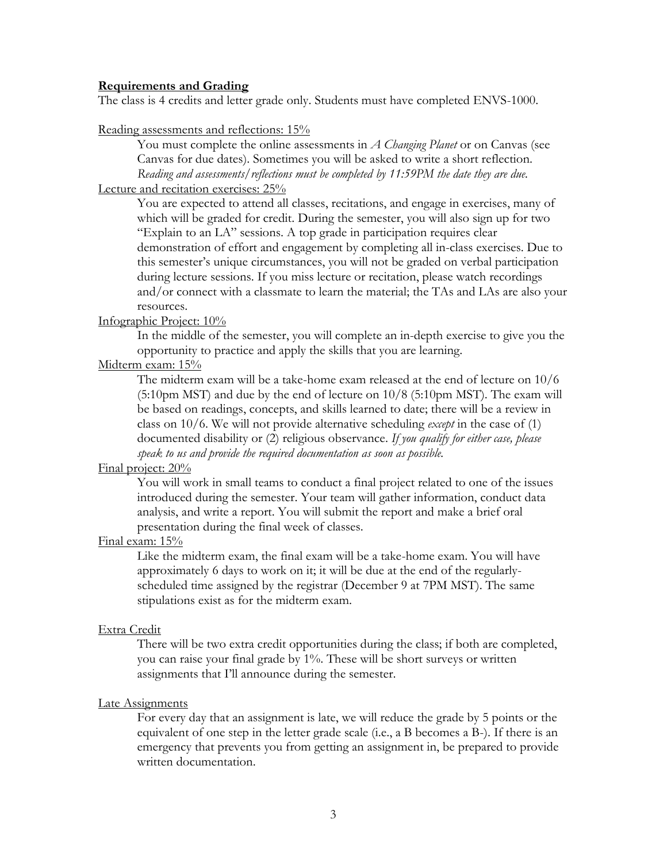#### **Requirements and Grading**

The class is 4 credits and letter grade only. Students must have completed ENVS-1000.

Reading assessments and reflections: 15%

You must complete the online assessments in *A Changing Planet* or on Canvas (see Canvas for due dates). Sometimes you will be asked to write a short reflection. *Reading and assessments/reflections must be completed by 11:59PM the date they are due.*

## Lecture and recitation exercises: 25%

You are expected to attend all classes, recitations, and engage in exercises, many of which will be graded for credit. During the semester, you will also sign up for two "Explain to an LA" sessions. A top grade in participation requires clear demonstration of effort and engagement by completing all in-class exercises. Due to this semester's unique circumstances, you will not be graded on verbal participation during lecture sessions. If you miss lecture or recitation, please watch recordings and/or connect with a classmate to learn the material; the TAs and LAs are also your resources.

### Infographic Project: 10%

In the middle of the semester, you will complete an in-depth exercise to give you the opportunity to practice and apply the skills that you are learning.

#### Midterm exam: 15%

The midterm exam will be a take-home exam released at the end of lecture on 10/6 (5:10pm MST) and due by the end of lecture on 10/8 (5:10pm MST). The exam will be based on readings, concepts, and skills learned to date; there will be a review in class on 10/6. We will not provide alternative scheduling *except* in the case of (1) documented disability or (2) religious observance. *If you qualify for either case, please speak to us and provide the required documentation as soon as possible.* 

## Final project: 20%

You will work in small teams to conduct a final project related to one of the issues introduced during the semester. Your team will gather information, conduct data analysis, and write a report. You will submit the report and make a brief oral presentation during the final week of classes.

#### Final exam: 15%

Like the midterm exam, the final exam will be a take-home exam. You will have approximately 6 days to work on it; it will be due at the end of the regularlyscheduled time assigned by the registrar (December 9 at 7PM MST). The same stipulations exist as for the midterm exam.

#### Extra Credit

There will be two extra credit opportunities during the class; if both are completed, you can raise your final grade by 1%. These will be short surveys or written assignments that I'll announce during the semester.

#### Late Assignments

For every day that an assignment is late, we will reduce the grade by 5 points or the equivalent of one step in the letter grade scale (i.e., a B becomes a B-). If there is an emergency that prevents you from getting an assignment in, be prepared to provide written documentation.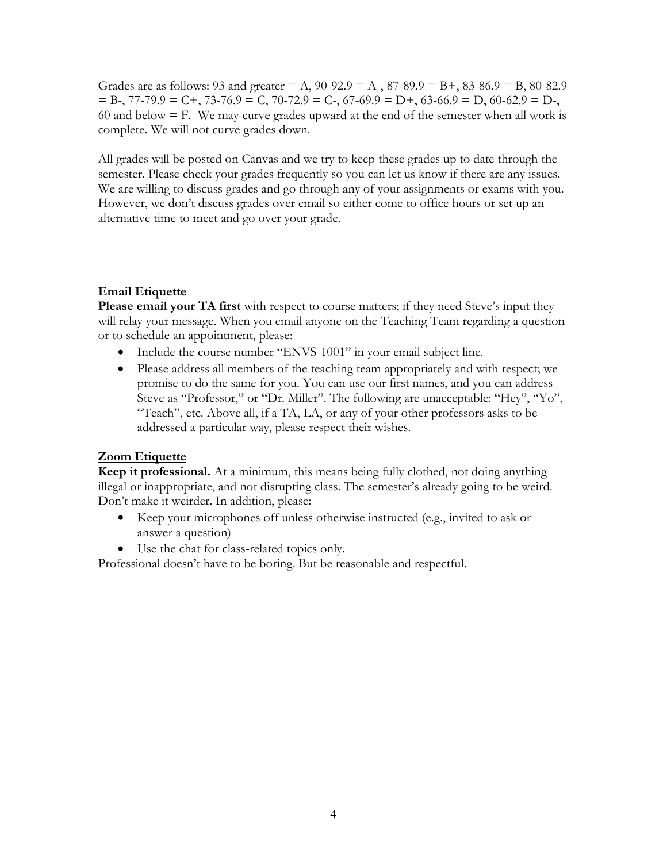Grades are as follows: 93 and greater = A, 90-92.9 = A-, 87-89.9 = B+, 83-86.9 = B, 80-82.9  $=$  B-, 77-79.9  $=$  C+, 73-76.9  $=$  C, 70-72.9  $=$  C-, 67-69.9  $=$  D+, 63-66.9  $=$  D, 60-62.9  $=$  D-, 60 and below  $=$  F. We may curve grades upward at the end of the semester when all work is complete. We will not curve grades down.

All grades will be posted on Canvas and we try to keep these grades up to date through the semester. Please check your grades frequently so you can let us know if there are any issues. We are willing to discuss grades and go through any of your assignments or exams with you. However, we don't discuss grades over email so either come to office hours or set up an alternative time to meet and go over your grade.

## **Email Etiquette**

**Please email your TA first** with respect to course matters; if they need Steve's input they will relay your message. When you email anyone on the Teaching Team regarding a question or to schedule an appointment, please:

- Include the course number "ENVS-1001" in your email subject line.
- Please address all members of the teaching team appropriately and with respect; we promise to do the same for you. You can use our first names, and you can address Steve as "Professor," or "Dr. Miller". The following are unacceptable: "Hey", "Yo", "Teach", etc. Above all, if a TA, LA, or any of your other professors asks to be addressed a particular way, please respect their wishes.

## **Zoom Etiquette**

**Keep it professional.** At a minimum, this means being fully clothed, not doing anything illegal or inappropriate, and not disrupting class. The semester's already going to be weird. Don't make it weirder. In addition, please:

- Keep your microphones off unless otherwise instructed (e.g., invited to ask or answer a question)
- Use the chat for class-related topics only.

Professional doesn't have to be boring. But be reasonable and respectful.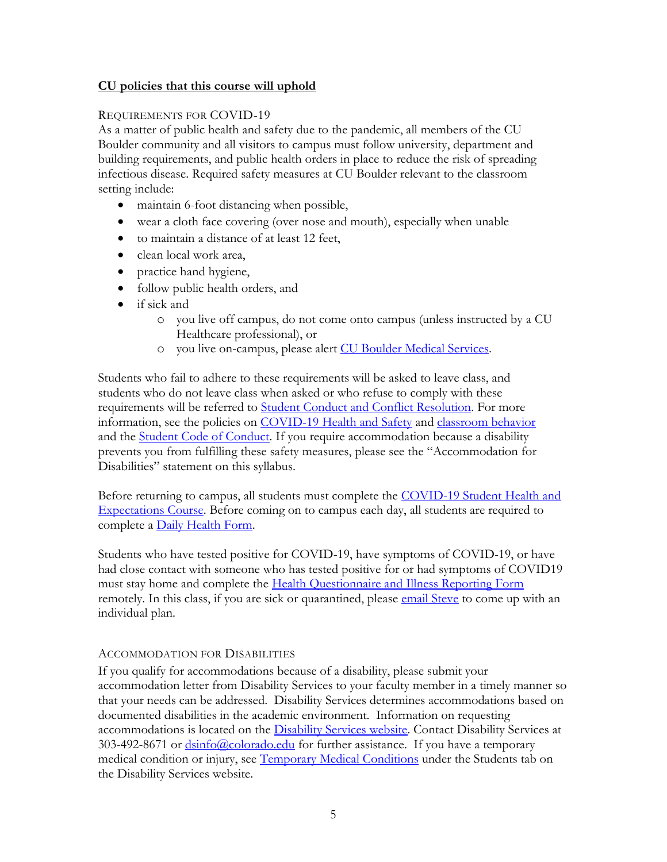## **CU policies that this course will uphold**

## REQUIREMENTS FOR COVID-19

As a matter of public health and safety due to the pandemic, all members of the CU Boulder community and all visitors to campus must follow university, department and building requirements, and public health orders in place to reduce the risk of spreading infectious disease. Required safety measures at CU Boulder relevant to the classroom setting include:

- maintain 6-foot distancing when possible,
- wear a cloth face covering (over nose and mouth), especially when unable
- to maintain a distance of at least 12 feet,
- clean local work area,
- practice hand hygiene,
- follow public health orders, and
- if sick and
	- o you live off campus, do not come onto campus (unless instructed by a CU Healthcare professional), or
	- o you live on-campus, please alert [CU Boulder Medical Services.](https://www.colorado.edu/healthcenter/coronavirus-updates/symptoms-and-what-do-if-you-feel-sick)

Students who fail to adhere to these requirements will be asked to leave class, and students who do not leave class when asked or who refuse to comply with these requirements will be referred to [Student Conduct and Conflict Resolution.](https://www.colorado.edu/sccr/) For more information, see the policies on [COVID-19 Health and Safety](https://www.colorado.edu/policies/covid-19-health-and-safety-policy) and [classroom behavior](http://www.colorado.edu/policies/student-classroom-and-course-related-behavior) and the **Student Code of Conduct**. If you require accommodation because a disability prevents you from fulfilling these safety measures, please see the "Accommodation for Disabilities" statement on this syllabus.

Before returning to campus, all students must complete the COVID-19 Student Health and [Expectations Course.](https://www.colorado.edu/protect-our-herd/how#anchor1) Before coming on to campus each day, all students are required to complete a [Daily Health Form.](https://www.colorado.edu/protect-our-herd/daily-health-form)

Students who have tested positive for COVID-19, have symptoms of COVID-19, or have had close contact with someone who has tested positive for or had symptoms of COVID19 must stay home and complete the [Health Questionnaire and Illness Reporting Form](https://www.colorado.edu/protect-our-herd/daily-health-form) remotely. In this class, if you are sick or quarantined, please [email Steve](mailto:steve.j.miller@colorado.edu?subject=ENVS%201001:%20sick%20or%20quarantined%20(COVID-19)) to come up with an individual plan.

## ACCOMMODATION FOR DISABILITIES

If you qualify for accommodations because of a disability, please submit your accommodation letter from Disability Services to your faculty member in a timely manner so that your needs can be addressed. Disability Services determines accommodations based on documented disabilities in the academic environment. Information on requesting accommodations is located on the [Disability Services website.](http://www.colorado.edu/disabilityservices/students) Contact Disability Services at  $303-492-8671$  or  $\frac{dsin6@colorado.edu}{dsin6@colorado.edu}$  for further assistance. If you have a temporary medical condition or injury, see [Temporary Medical Conditions](http://www.colorado.edu/disabilityservices/students/temporary-medical-conditions) under the Students tab on the Disability Services website.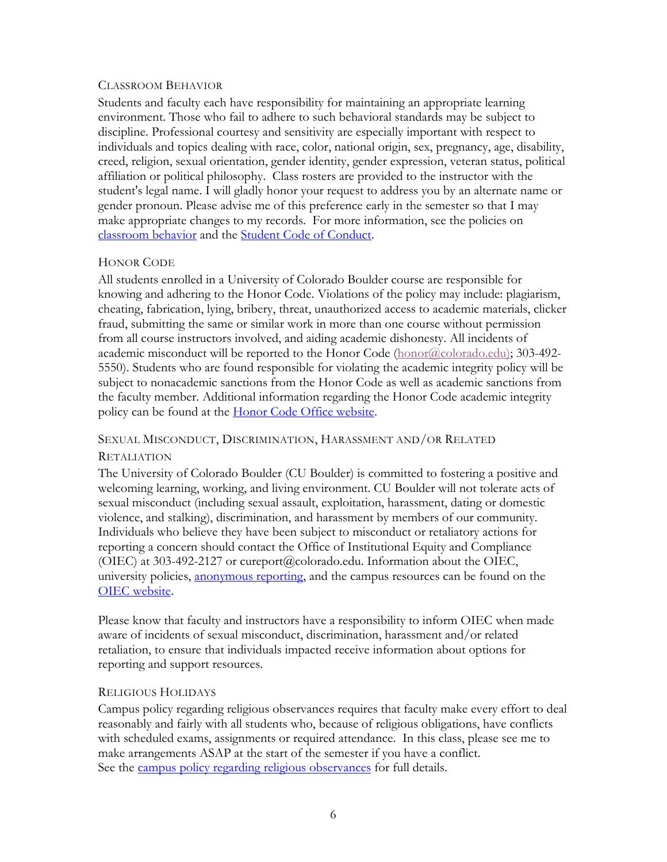#### CLASSROOM BEHAVIOR

Students and faculty each have responsibility for maintaining an appropriate learning environment. Those who fail to adhere to such behavioral standards may be subject to discipline. Professional courtesy and sensitivity are especially important with respect to individuals and topics dealing with race, color, national origin, sex, pregnancy, age, disability, creed, religion, sexual orientation, gender identity, gender expression, veteran status, political affiliation or political philosophy. Class rosters are provided to the instructor with the student's legal name. I will gladly honor your request to address you by an alternate name or gender pronoun. Please advise me of this preference early in the semester so that I may make appropriate changes to my records. For more information, see the policies on [classroom behavior](http://www.colorado.edu/policies/student-classroom-and-course-related-behavior) and the [Student Code of Conduct.](http://www.colorado.edu/osccr/)

## HONOR CODE

All students enrolled in a University of Colorado Boulder course are responsible for knowing and adhering to the Honor Code. Violations of the policy may include: plagiarism, cheating, fabrication, lying, bribery, threat, unauthorized access to academic materials, clicker fraud, submitting the same or similar work in more than one course without permission from all course instructors involved, and aiding academic dishonesty. All incidents of academic misconduct will be reported to the Honor Code [\(honor@colorado.edu\)](mailto:honor@colorado.edu); 303-492-5550). Students who are found responsible for violating the academic integrity policy will be subject to nonacademic sanctions from the Honor Code as well as academic sanctions from the faculty member. Additional information regarding the Honor Code academic integrity policy can be found at the **Honor Code Office website**.

# SEXUAL MISCONDUCT, DISCRIMINATION, HARASSMENT AND/OR RELATED

## **RETALIATION**

The University of Colorado Boulder (CU Boulder) is committed to fostering a positive and welcoming learning, working, and living environment. CU Boulder will not tolerate acts of sexual misconduct (including sexual assault, exploitation, harassment, dating or domestic violence, and stalking), discrimination, and harassment by members of our community. Individuals who believe they have been subject to misconduct or retaliatory actions for reporting a concern should contact the Office of Institutional Equity and Compliance (OIEC) at 303-492-2127 or cureport@colorado.edu. Information about the OIEC, university policies, [anonymous reporting,](https://cuboulder.qualtrics.com/jfe/form/SV_0PnqVK4kkIJIZnf) and the campus resources can be found on the [OIEC website.](http://www.colorado.edu/institutionalequity/)

Please know that faculty and instructors have a responsibility to inform OIEC when made aware of incidents of sexual misconduct, discrimination, harassment and/or related retaliation, to ensure that individuals impacted receive information about options for reporting and support resources.

## RELIGIOUS HOLIDAYS

Campus policy regarding religious observances requires that faculty make every effort to deal reasonably and fairly with all students who, because of religious obligations, have conflicts with scheduled exams, assignments or required attendance. In this class, please see me to make arrangements ASAP at the start of the semester if you have a conflict. See the [campus policy regarding religious observances](http://www.colorado.edu/policies/observance-religious-holidays-and-absences-classes-andor-exams) for full details.